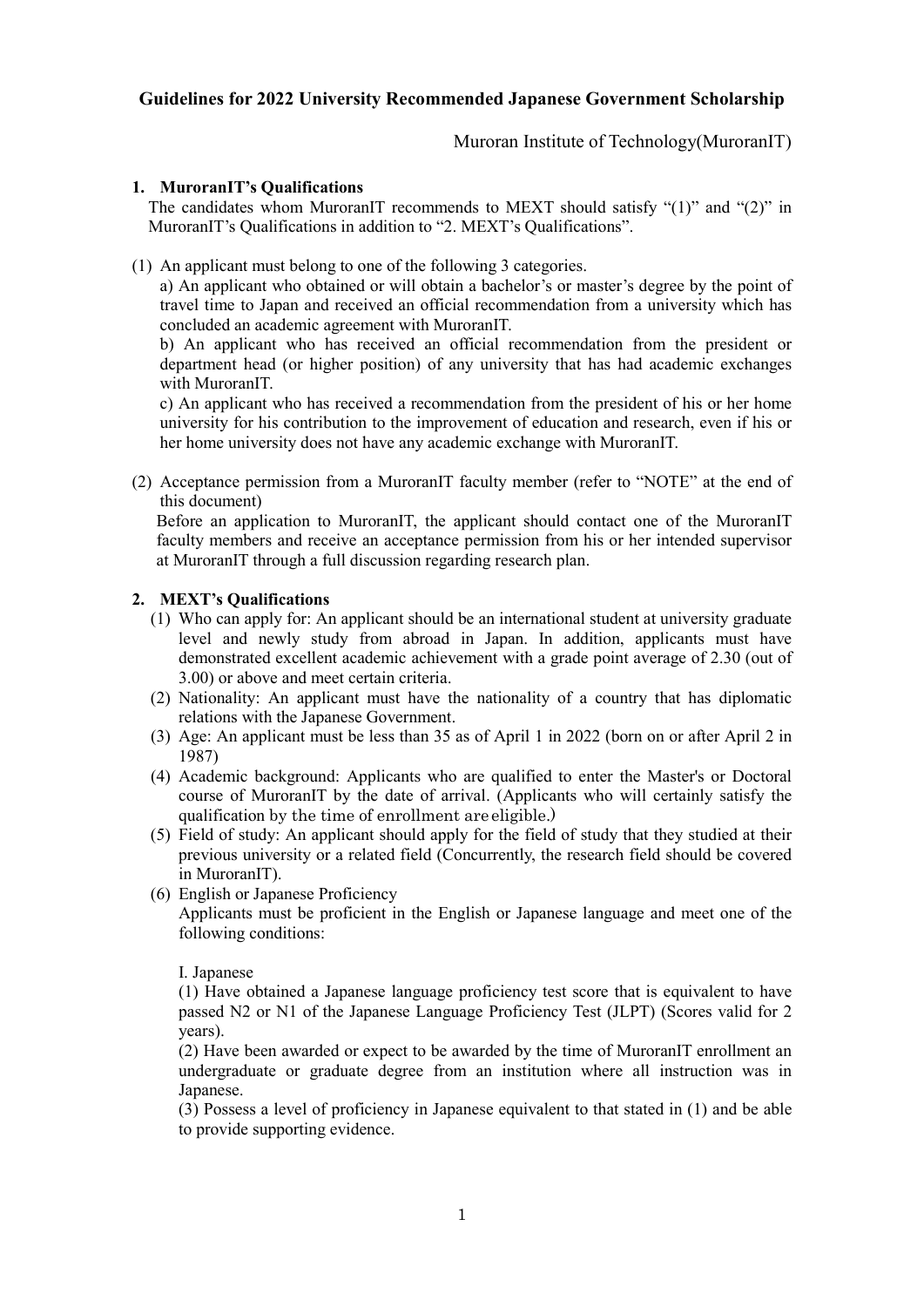**Guidelines for 2022 University Recommended Japanese Government Scholarship**

Muroran Institute of Technology(MuroranIT)

# **1. MuroranIT's Qualifications**

The candidates whom MuroranIT recommends to MEXT should satisfy "(1)" and "(2)" in MuroranIT's Qualifications in addition to "2. MEXT's Qualifications".

(1) An applicant must belong to one of the following 3 categories.

a) An applicant who obtained or will obtain a bachelor's or master's degree by the point of travel time to Japan and received an official recommendation from a university which has concluded an academic agreement with MuroranIT.

b) An applicant who has received an official recommendation from the president or department head (or higher position) of any university that has had academic exchanges with MuroranIT.

c) An applicant who has received a recommendation from the president of his or her home university for his contribution to the improvement of education and research, even if his or her home university does not have any academic exchange with MuroranIT.

(2) Acceptance permission from a MuroranIT faculty member (refer to "NOTE" at the end of this document)

Before an application to MuroranIT, the applicant should contact one of the MuroranIT faculty members and receive an acceptance permission from his or her intended supervisor at MuroranIT through a full discussion regarding research plan.

# **2. MEXT's Qualifications**

- (1) Who can apply for: An applicant should be an international student at university graduate level and newly study from abroad in Japan. In addition, applicants must have demonstrated excellent academic achievement with a grade point average of 2.30 (out of 3.00) or above and meet certain criteria.
- (2) Nationality: An applicant must have the nationality of a country that has diplomatic relations with the Japanese Government.
- (3) Age: An applicant must be less than 35 as of April 1 in 2022 (born on or after April 2 in 1987)
- (4) Academic background: Applicants who are qualified to enter the Master's or Doctoral course of MuroranIT by the date of arrival. (Applicants who will certainly satisfy the qualification by the time of enrollment are eligible.)
- (5) Field of study: An applicant should apply for the field of study that they studied at their previous university or a related field (Concurrently, the research field should be covered in MuroranIT).
- (6) English or Japanese Proficiency

Applicants must be proficient in the English or Japanese language and meet one of the following conditions:

I. Japanese

(1) Have obtained a Japanese language proficiency test score that is equivalent to have passed N2 or N1 of the Japanese Language Proficiency Test (JLPT) (Scores valid for 2 years).

(2) Have been awarded or expect to be awarded by the time of MuroranIT enrollment an undergraduate or graduate degree from an institution where all instruction was in Japanese.

(3) Possess a level of proficiency in Japanese equivalent to that stated in (1) and be able to provide supporting evidence.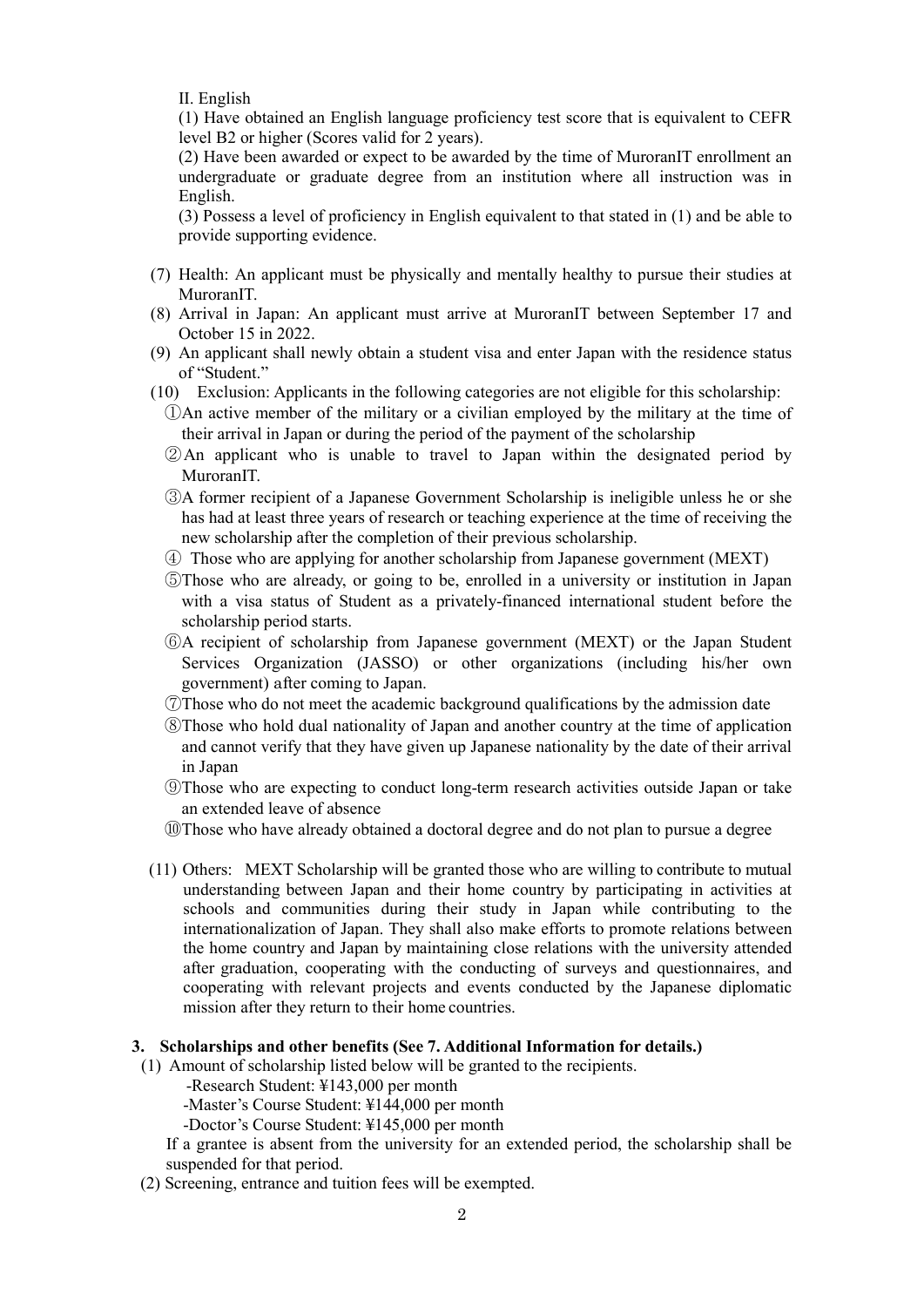II. English

(1) Have obtained an English language proficiency test score that is equivalent to CEFR level B2 or higher (Scores valid for 2 years).

(2) Have been awarded or expect to be awarded by the time of MuroranIT enrollment an undergraduate or graduate degree from an institution where all instruction was in English.

(3) Possess a level of proficiency in English equivalent to that stated in (1) and be able to provide supporting evidence.

- (7) Health: An applicant must be physically and mentally healthy to pursue their studies at MuroranIT.
- (8) Arrival in Japan: An applicant must arrive at MuroranIT between September 17 and October 15 in 2022.
- (9) An applicant shall newly obtain a student visa and enter Japan with the residence status of "Student."
- (10) Exclusion: Applicants in the following categories are not eligible for this scholarship:
	- ①An active member of the military or a civilian employed by the military at the time of their arrival in Japan or during the period of the payment of the scholarship
	- ②An applicant who is unable to travel to Japan within the designated period by MuroranIT.
	- ③A former recipient of a Japanese Government Scholarship is ineligible unless he or she has had at least three years of research or teaching experience at the time of receiving the new scholarship after the completion of their previous scholarship.
	- ④ Those who are applying for another scholarship from Japanese government (MEXT)
	- ⑤Those who are already, or going to be, enrolled in a university or institution in Japan with a visa status of Student as a privately-financed international student before the scholarship period starts.
	- ⑥A recipient of scholarship from Japanese government (MEXT) or the Japan Student Services Organization (JASSO) or other organizations (including his/her own government) after coming to Japan.
	- ⑦Those who do not meet the academic background qualifications by the admission date
	- ⑧Those who hold dual nationality of Japan and another country at the time of application and cannot verify that they have given up Japanese nationality by the date of their arrival in Japan
	- ⑨Those who are expecting to conduct long-term research activities outside Japan or take an extended leave of absence
	- ⑩Those who have already obtained a doctoral degree and do not plan to pursue a degree
- (11) Others: MEXT Scholarship will be granted those who are willing to contribute to mutual understanding between Japan and their home country by participating in activities at schools and communities during their study in Japan while contributing to the internationalization of Japan. They shall also make efforts to promote relations between the home country and Japan by maintaining close relations with the university attended after graduation, cooperating with the conducting of surveys and questionnaires, and cooperating with relevant projects and events conducted by the Japanese diplomatic mission after they return to their home countries.

## **3. Scholarships and other benefits (See 7. Additional Information for details.)**

(1) Amount of scholarship listed below will be granted to the recipients.

-Research Student: ¥143,000 per month

-Master's Course Student: ¥144,000 per month

-Doctor's Course Student: ¥145,000 per month

 If a grantee is absent from the university for an extended period, the scholarship shall be suspended for that period.

(2) Screening, entrance and tuition fees will be exempted.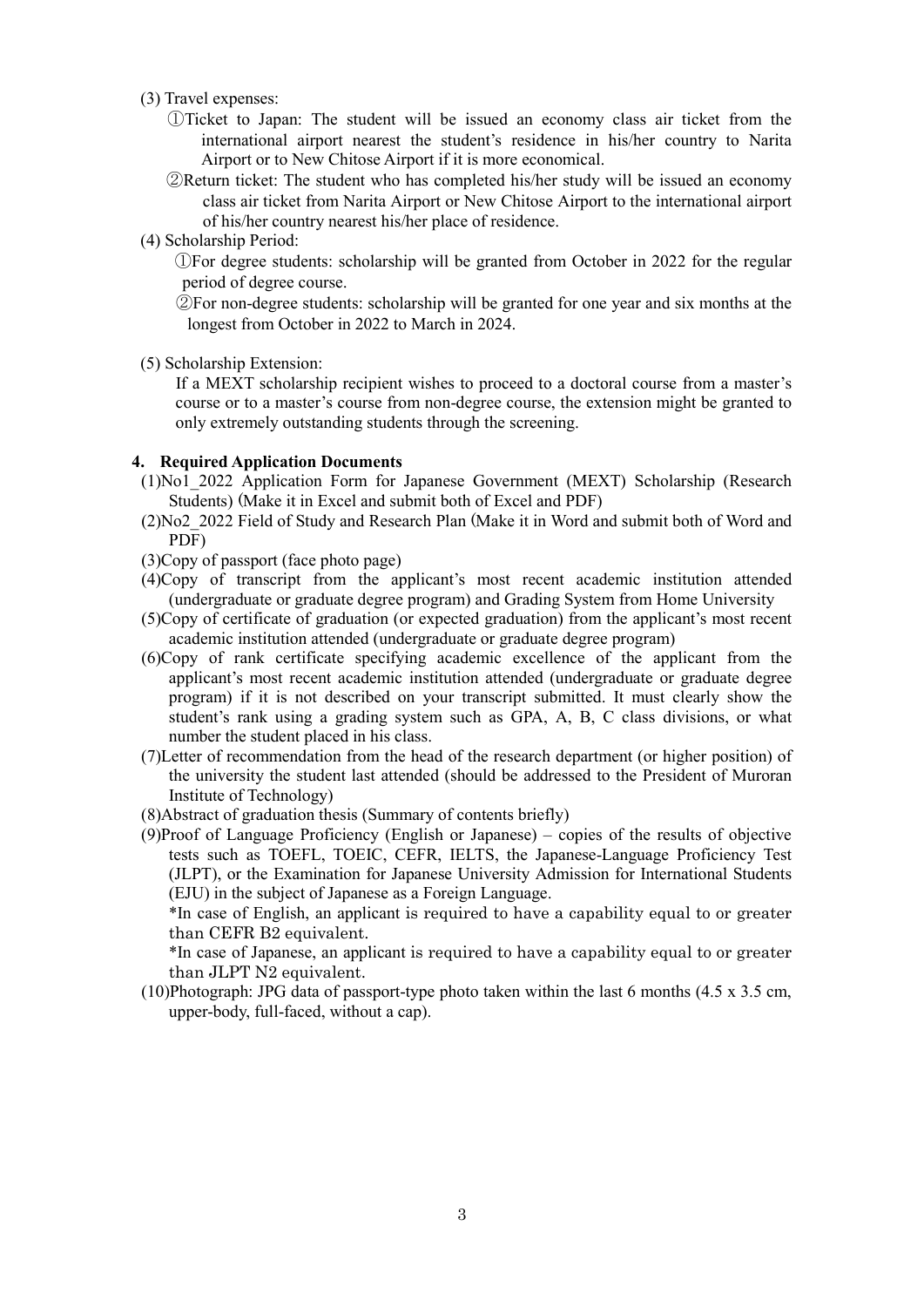- (3) Travel expenses:
	- ①Ticket to Japan: The student will be issued an economy class air ticket from the international airport nearest the student's residence in his/her country to Narita Airport or to New Chitose Airport if it is more economical.
	- ②Return ticket: The student who has completed his/her study will be issued an economy class air ticket from Narita Airport or New Chitose Airport to the international airport of his/her country nearest his/her place of residence.
- (4) Scholarship Period:
	- ①For degree students: scholarship will be granted from October in 2022 for the regular period of degree course.
	- ②For non-degree students: scholarship will be granted for one year and six months at the longest from October in 2022 to March in 2024.
- (5) Scholarship Extension:

If a MEXT scholarship recipient wishes to proceed to a doctoral course from a master's course or to a master's course from non-degree course, the extension might be granted to only extremely outstanding students through the screening.

### **4. Required Application Documents**

- (1)No1\_2022 Application Form for Japanese Government (MEXT) Scholarship (Research Students) (Make it in Excel and submit both of Excel and PDF)
- (2)No2\_2022 Field of Study and Research Plan (Make it in Word and submit both of Word and PDF)
- (3)Copy of passport (face photo page)
- (4)Copy of transcript from the applicant's most recent academic institution attended (undergraduate or graduate degree program) and Grading System from Home University
- (5)Copy of certificate of graduation (or expected graduation) from the applicant's most recent academic institution attended (undergraduate or graduate degree program)
- (6)Copy of rank certificate specifying academic excellence of the applicant from the applicant's most recent academic institution attended (undergraduate or graduate degree program) if it is not described on your transcript submitted. It must clearly show the student's rank using a grading system such as GPA, A, B, C class divisions, or what number the student placed in his class.
- (7)Letter of recommendation from the head of the research department (or higher position) of the university the student last attended (should be addressed to the President of Muroran Institute of Technology)
- (8)Abstract of graduation thesis (Summary of contents briefly)
- (9)Proof of Language Proficiency (English or Japanese) copies of the results of objective tests such as TOEFL, TOEIC, CEFR, IELTS, the Japanese-Language Proficiency Test (JLPT), or the Examination for Japanese University Admission for International Students (EJU) in the subject of Japanese as a Foreign Language.

\*In case of English, an applicant is required to have a capability equal to or greater than CEFR B2 equivalent.

\*In case of Japanese, an applicant is required to have a capability equal to or greater than JLPT N2 equivalent.

(10)Photograph: JPG data of passport-type photo taken within the last 6 months (4.5 x 3.5 cm, upper-body, full-faced, without a cap).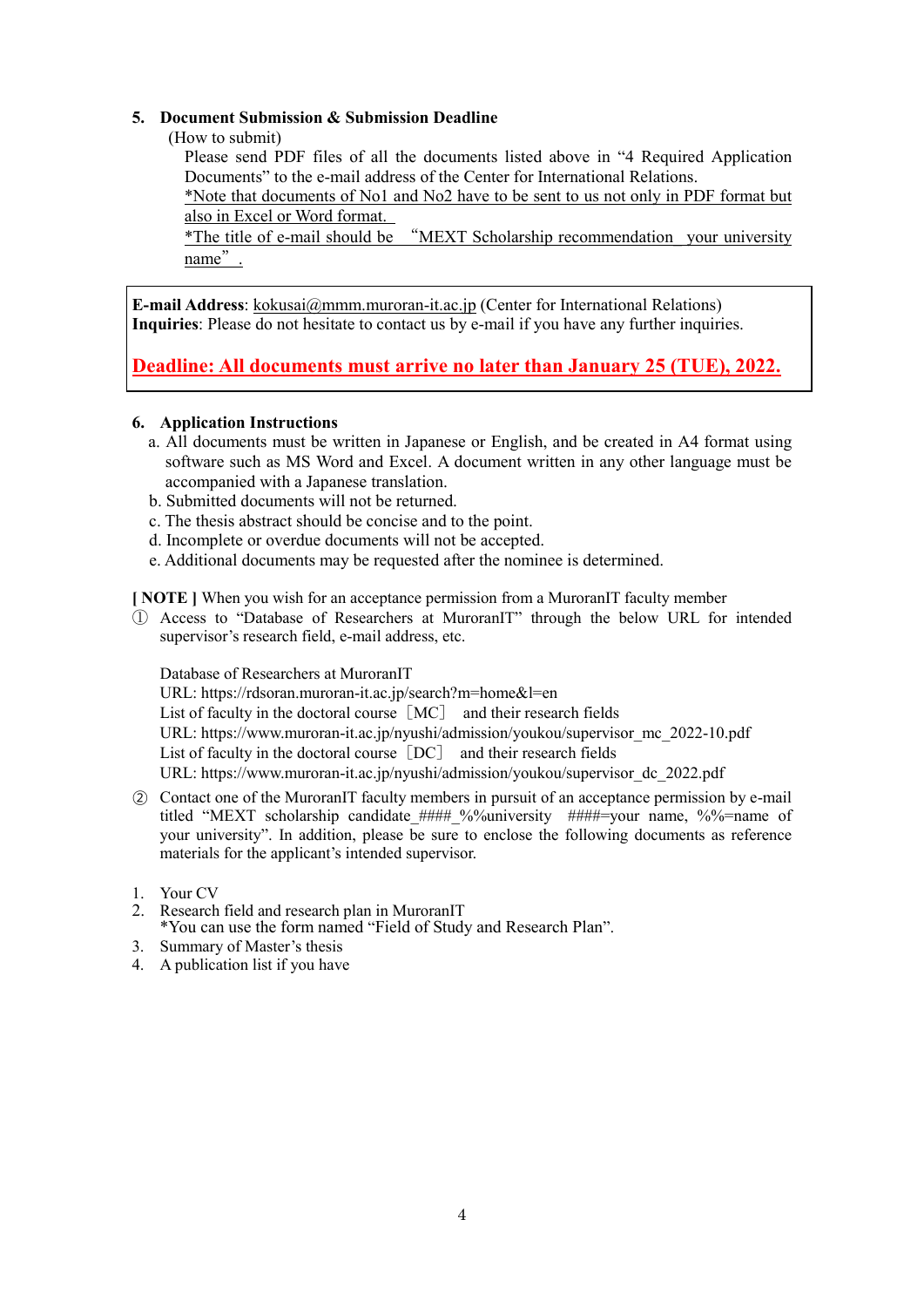## **5. Document Submission & Submission Deadline**

(How to submit)

Please send PDF files of all the documents listed above in "4 Required Application Documents" to the e-mail address of the Center for International Relations.

\*Note that documents of No1 and No2 have to be sent to us not only in PDF format but also in Excel or Word format.

\*The title of e-mail should be "MEXT Scholarship recommendation\_ your university name".

**E-mail Address**: [kokusai@mmm.muroran-it.ac.jp](mailto:kokusai@mmm.muroran-it.ac.jp) (Center for International Relations) **Inquiries**: Please do not hesitate to contact us by e-mail if you have any further inquiries.

**Deadline: All documents must arrive no later than January 25 (TUE), 2022.**

# **6. Application Instructions**

- a. All documents must be written in Japanese or English, and be created in A4 format using software such as MS Word and Excel. A document written in any other language must be accompanied with a Japanese translation.
- b. Submitted documents will not be returned.
- c. The thesis abstract should be concise and to the point.
- d. Incomplete or overdue documents will not be accepted.
- e. Additional documents may be requested after the nominee is determined.

**[ NOTE ]** When you wish for an acceptance permission from a MuroranIT faculty member

① Access to "Database of Researchers at MuroranIT" through the below URL for intended supervisor's research field, e-mail address, etc.

Database of Researchers at MuroranIT

URL: https://rdsoran.muroran-it.ac.jp/search?m=home&l=en

List of faculty in the doctoral course [MC] and their research fields

URL: https://www.muroran-it.ac.jp/nyushi/admission/youkou/supervisor\_mc\_2022-10.pdf

List of faculty in the doctoral course [DC] and their research fields

URL: https://www.muroran-it.ac.jp/nyushi/admission/youkou/supervisor\_dc\_2022.pdf

- ② Contact one of the MuroranIT faculty members in pursuit of an acceptance permission by e-mail titled "MEXT scholarship candidate #### %%university ####=your name, %%=name of your university". In addition, please be sure to enclose the following documents as reference materials for the applicant's intended supervisor.
- 1. Your CV
- 2. Research field and research plan in MuroranIT

\*You can use the form named "Field of Study and Research Plan".

- 3. Summary of Master's thesis
- 4. A publication list if you have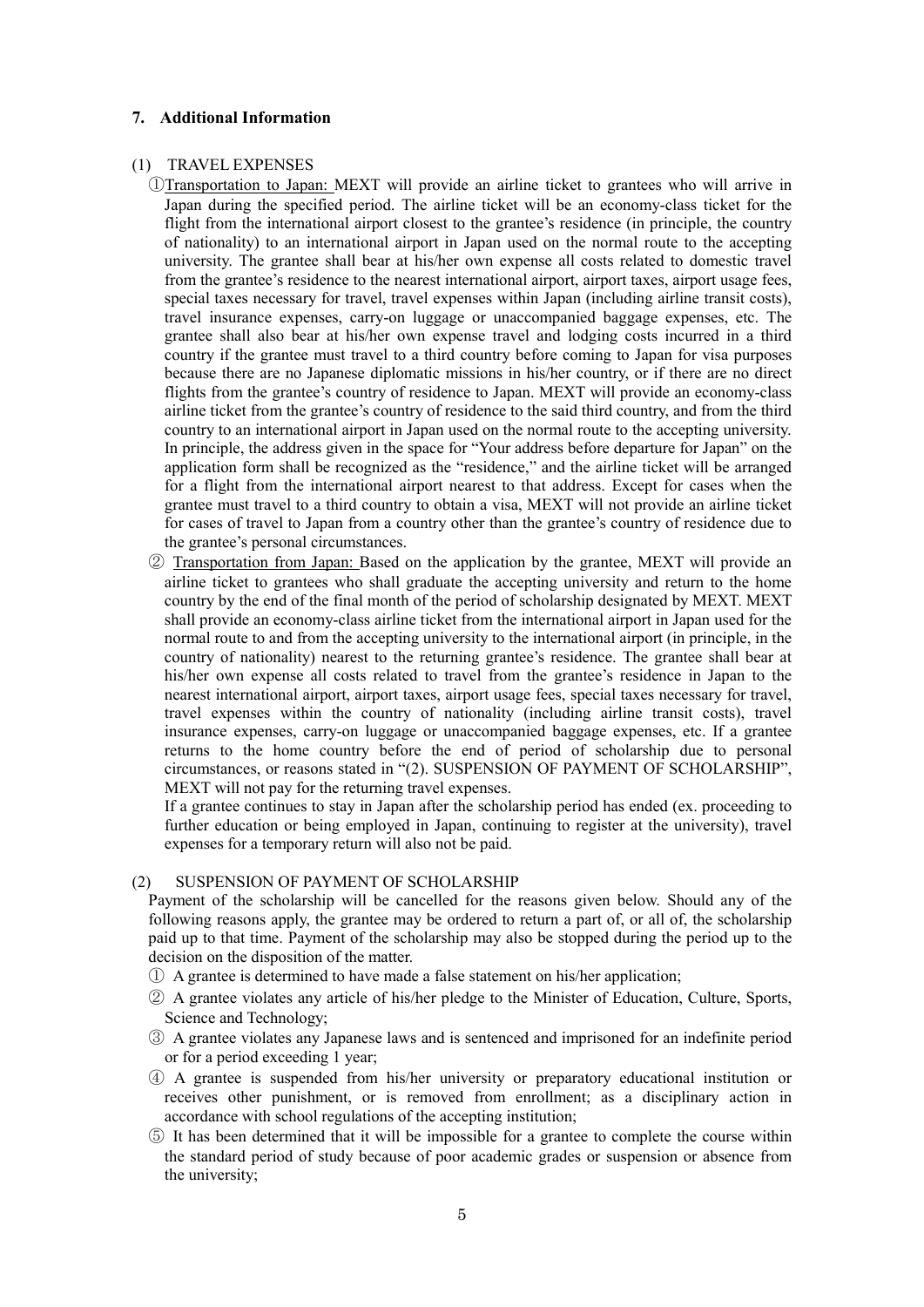#### **7. Additional Information**

#### (1) TRAVEL EXPENSES

- ①Transportation to Japan: MEXT will provide an airline ticket to grantees who will arrive in Japan during the specified period. The airline ticket will be an economy-class ticket for the flight from the international airport closest to the grantee's residence (in principle, the country of nationality) to an international airport in Japan used on the normal route to the accepting university. The grantee shall bear at his/her own expense all costs related to domestic travel from the grantee's residence to the nearest international airport, airport taxes, airport usage fees, special taxes necessary for travel, travel expenses within Japan (including airline transit costs), travel insurance expenses, carry-on luggage or unaccompanied baggage expenses, etc. The grantee shall also bear at his/her own expense travel and lodging costs incurred in a third country if the grantee must travel to a third country before coming to Japan for visa purposes because there are no Japanese diplomatic missions in his/her country, or if there are no direct flights from the grantee's country of residence to Japan. MEXT will provide an economy-class airline ticket from the grantee's country of residence to the said third country, and from the third country to an international airport in Japan used on the normal route to the accepting university. In principle, the address given in the space for "Your address before departure for Japan" on the application form shall be recognized as the "residence," and the airline ticket will be arranged for a flight from the international airport nearest to that address. Except for cases when the grantee must travel to a third country to obtain a visa, MEXT will not provide an airline ticket for cases of travel to Japan from a country other than the grantee's country of residence due to the grantee's personal circumstances.
- ② Transportation from Japan: Based on the application by the grantee, MEXT will provide an airline ticket to grantees who shall graduate the accepting university and return to the home country by the end of the final month of the period of scholarship designated by MEXT. MEXT shall provide an economy-class airline ticket from the international airport in Japan used for the normal route to and from the accepting university to the international airport (in principle, in the country of nationality) nearest to the returning grantee's residence. The grantee shall bear at his/her own expense all costs related to travel from the grantee's residence in Japan to the nearest international airport, airport taxes, airport usage fees, special taxes necessary for travel, travel expenses within the country of nationality (including airline transit costs), travel insurance expenses, carry-on luggage or unaccompanied baggage expenses, etc. If a grantee returns to the home country before the end of period of scholarship due to personal circumstances, or reasons stated in "(2). SUSPENSION OF PAYMENT OF SCHOLARSHIP", MEXT will not pay for the returning travel expenses.

If a grantee continues to stay in Japan after the scholarship period has ended (ex. proceeding to further education or being employed in Japan, continuing to register at the university), travel expenses for a temporary return will also not be paid.

#### (2) SUSPENSION OF PAYMENT OF SCHOLARSHIP

Payment of the scholarship will be cancelled for the reasons given below. Should any of the following reasons apply, the grantee may be ordered to return a part of, or all of, the scholarship paid up to that time. Payment of the scholarship may also be stopped during the period up to the decision on the disposition of the matter.

- ① A grantee is determined to have made a false statement on his/her application;
- ② A grantee violates any article of his/her pledge to the Minister of Education, Culture, Sports, Science and Technology;
- ③ A grantee violates any Japanese laws and is sentenced and imprisoned for an indefinite period or for a period exceeding 1 year;
- ④ A grantee is suspended from his/her university or preparatory educational institution or receives other punishment, or is removed from enrollment; as a disciplinary action in accordance with school regulations of the accepting institution;
- ⑤ It has been determined that it will be impossible for a grantee to complete the course within the standard period of study because of poor academic grades or suspension or absence from the university;